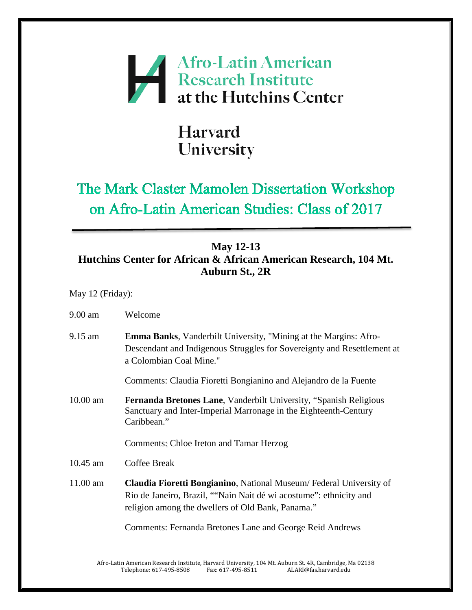

## Harvard University

## The Mark Claster Mamolen Dissertation Workshop on Afro-Latin American Studies: Class of 2017

## **May 12-13 Hutchins Center for African & African American Research, 104 Mt. Auburn St., 2R**

May 12 (Friday):

| $9.00$ am  | Welcome                                                                                                                                                                                       |
|------------|-----------------------------------------------------------------------------------------------------------------------------------------------------------------------------------------------|
| 9.15 am    | <b>Emma Banks, Vanderbilt University, "Mining at the Margins: Afro-</b><br>Descendant and Indigenous Struggles for Sovereignty and Resettlement at<br>a Colombian Coal Mine."                 |
|            | Comments: Claudia Fioretti Bongianino and Alejandro de la Fuente                                                                                                                              |
| 10.00 am   | <b>Fernanda Bretones Lane, Vanderbilt University, "Spanish Religious</b><br>Sanctuary and Inter-Imperial Marronage in the Eighteenth-Century<br>Caribbean."                                   |
|            | Comments: Chloe Ireton and Tamar Herzog                                                                                                                                                       |
| $10.45$ am | <b>Coffee Break</b>                                                                                                                                                                           |
| $11.00$ am | Claudia Fioretti Bongianino, National Museum/Federal University of<br>Rio de Janeiro, Brazil, ""Nain Nait dé wi acostume": ethnicity and<br>religion among the dwellers of Old Bank, Panama." |
|            | Comments: Fernanda Bretones Lane and George Reid Andrews                                                                                                                                      |

Afro-Latin American Research Institute, Harvard University, 104 Mt. Auburn St. 4R, Cambridge, Ma 02138 Telephone: 617-495-8508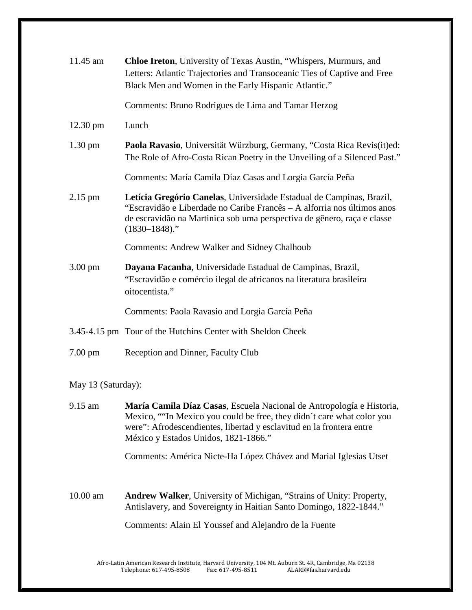| $11.45$ am         | <b>Chloe Ireton</b> , University of Texas Austin, "Whispers, Murmurs, and<br>Letters: Atlantic Trajectories and Transoceanic Ties of Captive and Free<br>Black Men and Women in the Early Hispanic Atlantic."                                                   |  |
|--------------------|-----------------------------------------------------------------------------------------------------------------------------------------------------------------------------------------------------------------------------------------------------------------|--|
|                    | Comments: Bruno Rodrigues de Lima and Tamar Herzog                                                                                                                                                                                                              |  |
| $12.30 \text{ pm}$ | Lunch                                                                                                                                                                                                                                                           |  |
| $1.30 \text{ pm}$  | Paola Ravasio, Universität Würzburg, Germany, "Costa Rica Revis(it)ed:<br>The Role of Afro-Costa Rican Poetry in the Unveiling of a Silenced Past."                                                                                                             |  |
|                    | Comments: María Camila Díaz Casas and Lorgia García Peña                                                                                                                                                                                                        |  |
| $2.15$ pm          | Letícia Gregório Canelas, Universidade Estadual de Campinas, Brazil,<br>"Escravidão e Liberdade no Caribe Francês – A alforria nos últimos anos<br>de escravidão na Martinica sob uma perspectiva de gênero, raça e classe<br>$(1830 - 1848)$ ."                |  |
|                    | <b>Comments: Andrew Walker and Sidney Chalhoub</b>                                                                                                                                                                                                              |  |
| $3.00 \text{ pm}$  | Dayana Facanha, Universidade Estadual de Campinas, Brazil,<br>"Escravidão e comércio ilegal de africanos na literatura brasileira<br>oitocentista."                                                                                                             |  |
|                    | Comments: Paola Ravasio and Lorgia García Peña                                                                                                                                                                                                                  |  |
|                    | 3.45-4.15 pm Tour of the Hutchins Center with Sheldon Cheek                                                                                                                                                                                                     |  |
| $7.00 \text{ pm}$  | Reception and Dinner, Faculty Club                                                                                                                                                                                                                              |  |
| May 13 (Saturday): |                                                                                                                                                                                                                                                                 |  |
| 9.15 am            | María Camila Díaz Casas, Escuela Nacional de Antropología e Historia,<br>Mexico, ""In Mexico you could be free, they didn't care what color you<br>were": Afrodescendientes, libertad y esclavitud en la frontera entre<br>México y Estados Unidos, 1821-1866." |  |
|                    | Comments: América Nicte-Ha López Chávez and Marial Iglesias Utset                                                                                                                                                                                               |  |
| $10.00$ am         | Andrew Walker, University of Michigan, "Strains of Unity: Property,<br>Antislavery, and Sovereignty in Haitian Santo Domingo, 1822-1844."                                                                                                                       |  |
|                    | Comments: Alain El Youssef and Alejandro de la Fuente                                                                                                                                                                                                           |  |

Afro-Latin American Research Institute, Harvard University, 104 Mt. Auburn St. 4R, Cambridge, Ma 02138 Telephone: 617-495-8508 Fax: 617-495-8511 ALARI@fas.harvard.edu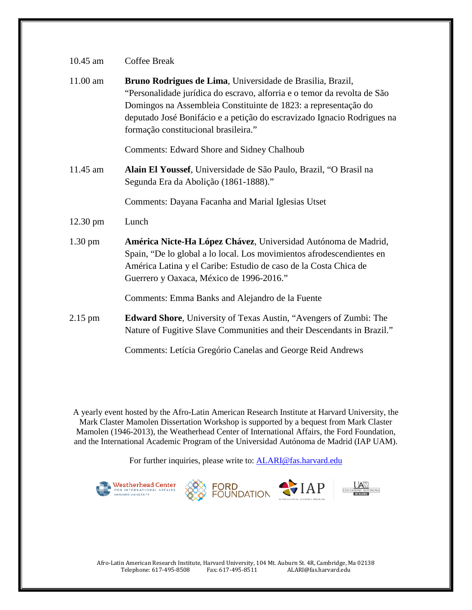| 10.45 am          | <b>Coffee Break</b>                                                                                                                                                                                                                                                                                                          |
|-------------------|------------------------------------------------------------------------------------------------------------------------------------------------------------------------------------------------------------------------------------------------------------------------------------------------------------------------------|
| 11.00 am          | Bruno Rodrigues de Lima, Universidade de Brasilia, Brazil,<br>"Personalidade jurídica do escravo, alforria e o temor da revolta de São<br>Domingos na Assembleia Constituinte de 1823: a representação do<br>deputado José Bonifácio e a petição do escravizado Ignacio Rodrigues na<br>formação constitucional brasileira." |
|                   | <b>Comments: Edward Shore and Sidney Chalhoub</b>                                                                                                                                                                                                                                                                            |
| 11.45 am          | Alain El Youssef, Universidade de São Paulo, Brazil, "O Brasil na<br>Segunda Era da Abolição (1861-1888)."                                                                                                                                                                                                                   |
|                   | Comments: Dayana Facanha and Marial Iglesias Utset                                                                                                                                                                                                                                                                           |
| 12.30 pm          | Lunch                                                                                                                                                                                                                                                                                                                        |
| $1.30 \text{ pm}$ | América Nicte-Ha López Chávez, Universidad Autónoma de Madrid,<br>Spain, "De lo global a lo local. Los movimientos afrodescendientes en<br>América Latina y el Caribe: Estudio de caso de la Costa Chica de<br>Guerrero y Oaxaca, México de 1996-2016."                                                                      |
|                   | Comments: Emma Banks and Alejandro de la Fuente                                                                                                                                                                                                                                                                              |
| $2.15$ pm         | <b>Edward Shore, University of Texas Austin, "Avengers of Zumbi: The</b><br>Nature of Fugitive Slave Communities and their Descendants in Brazil."                                                                                                                                                                           |

Comments: Letícia Gregório Canelas and George Reid Andrews

A yearly event hosted by the Afro-Latin American Research Institute at Harvard University, the Mark Claster Mamolen Dissertation Workshop is supported by a bequest from Mark Claster Mamolen (1946-2013), the Weatherhead Center of International Affairs, the Ford Foundation, and the International Academic Program of the Universidad Autónoma de Madrid (IAP UAM).

For further inquiries, please write to: **ALARI@fas.harvard.edu** 



Afro-Latin American Research Institute, Harvard University, 104 Mt. Auburn St. 4R, Cambridge, Ma 02138 Telephone: 617-495-8508